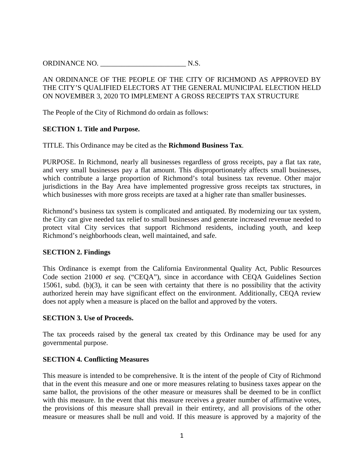## AN ORDINANCE OF THE PEOPLE OF THE CITY OF RICHMOND AS APPROVED BY THE CITY'S QUALIFIED ELECTORS AT THE GENERAL MUNICIPAL ELECTION HELD ON NOVEMBER 3, 2020 TO IMPLEMENT A GROSS RECEIPTS TAX STRUCTURE

The People of the City of Richmond do ordain as follows:

#### **SECTION 1. Title and Purpose.**

TITLE. This Ordinance may be cited as the **Richmond Business Tax**.

PURPOSE. In Richmond, nearly all businesses regardless of gross receipts, pay a flat tax rate, and very small businesses pay a flat amount. This disproportionately affects small businesses, which contribute a large proportion of Richmond's total business tax revenue. Other major jurisdictions in the Bay Area have implemented progressive gross receipts tax structures, in which businesses with more gross receipts are taxed at a higher rate than smaller businesses.

Richmond's business tax system is complicated and antiquated. By modernizing our tax system, the City can give needed tax relief to small businesses and generate increased revenue needed to protect vital City services that support Richmond residents, including youth, and keep Richmond's neighborhoods clean, well maintained, and safe.

#### **SECTION 2. Findings**

This Ordinance is exempt from the California Environmental Quality Act, Public Resources Code section 21000 *et seq.* ("CEQA"), since in accordance with CEQA Guidelines Section 15061, subd. (b)(3), it can be seen with certainty that there is no possibility that the activity authorized herein may have significant effect on the environment. Additionally, CEQA review does not apply when a measure is placed on the ballot and approved by the voters.

#### **SECTION 3. Use of Proceeds.**

The tax proceeds raised by the general tax created by this Ordinance may be used for any governmental purpose.

#### **SECTION 4. Conflicting Measures**

This measure is intended to be comprehensive. It is the intent of the people of City of Richmond that in the event this measure and one or more measures relating to business taxes appear on the same ballot, the provisions of the other measure or measures shall be deemed to be in conflict with this measure. In the event that this measure receives a greater number of affirmative votes, the provisions of this measure shall prevail in their entirety, and all provisions of the other measure or measures shall be null and void. If this measure is approved by a majority of the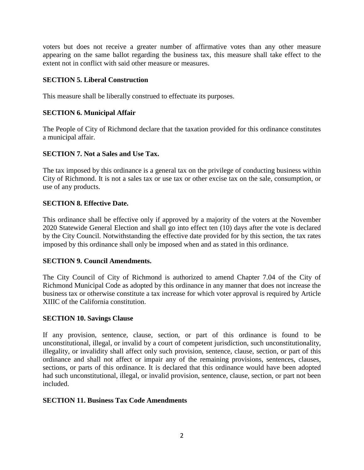voters but does not receive a greater number of affirmative votes than any other measure appearing on the same ballot regarding the business tax, this measure shall take effect to the extent not in conflict with said other measure or measures.

## **SECTION 5. Liberal Construction**

This measure shall be liberally construed to effectuate its purposes.

# **SECTION 6. Municipal Affair**

The People of City of Richmond declare that the taxation provided for this ordinance constitutes a municipal affair.

# **SECTION 7. Not a Sales and Use Tax.**

The tax imposed by this ordinance is a general tax on the privilege of conducting business within City of Richmond. It is not a sales tax or use tax or other excise tax on the sale, consumption, or use of any products.

# **SECTION 8. Effective Date.**

This ordinance shall be effective only if approved by a majority of the voters at the November 2020 Statewide General Election and shall go into effect ten (10) days after the vote is declared by the City Council. Notwithstanding the effective date provided for by this section, the tax rates imposed by this ordinance shall only be imposed when and as stated in this ordinance.

## **SECTION 9. Council Amendments.**

The City Council of City of Richmond is authorized to amend Chapter 7.04 of the City of Richmond Municipal Code as adopted by this ordinance in any manner that does not increase the business tax or otherwise constitute a tax increase for which voter approval is required by Article XIIIC of the California constitution.

## **SECTION 10. Savings Clause**

If any provision, sentence, clause, section, or part of this ordinance is found to be unconstitutional, illegal, or invalid by a court of competent jurisdiction, such unconstitutionality, illegality, or invalidity shall affect only such provision, sentence, clause, section, or part of this ordinance and shall not affect or impair any of the remaining provisions, sentences, clauses, sections, or parts of this ordinance. It is declared that this ordinance would have been adopted had such unconstitutional, illegal, or invalid provision, sentence, clause, section, or part not been included.

## **SECTION 11. Business Tax Code Amendments**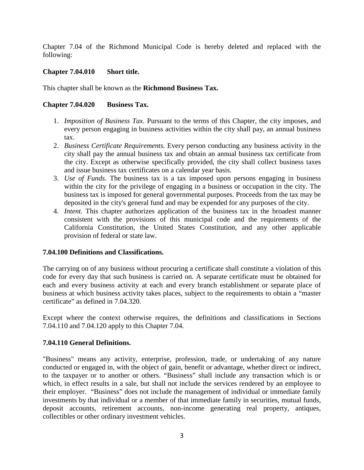Chapter 7.04 of the Richmond Municipal Code is hereby deleted and replaced with the following:

## **Chapter 7.04.010 Short title.**

This chapter shall be known as the **Richmond Business Tax.**

## **Chapter 7.04.020 Business Tax.**

- 1. *Imposition of Business Tax*. Pursuant to the terms of this Chapter, the city imposes, and every person engaging in business activities within the city shall pay, an annual business tax.
- 2. *Business Certificate Requirements.* Every person conducting any business activity in the city shall pay the annual business tax and obtain an annual business tax certificate from the city. Except as otherwise specifically provided, the city shall collect business taxes and issue business tax certificates on a calendar year basis.
- 3. *Use of Funds*. The business tax is a tax imposed upon persons engaging in business within the city for the privilege of engaging in a business or occupation in the city. The business tax is imposed for general governmental purposes. Proceeds from the tax may be deposited in the city's general fund and may be expended for any purposes of the city.
- 4. *Intent.* This chapter authorizes application of the business tax in the broadest manner consistent with the provisions of this municipal code and the requirements of the California Constitution, the United States Constitution, and any other applicable provision of federal or state law.

## **7.04.100 Definitions and Classifications.**

The carrying on of any business without procuring a certificate shall constitute a violation of this code for every day that such business is carried on. A separate certificate must be obtained for each and every business activity at each and every branch establishment or separate place of business at which business activity takes places, subject to the requirements to obtain a "master certificate" as defined in 7.04.320.

Except where the context otherwise requires, the definitions and classifications in Sections 7.04.110 and 7.04.120 apply to this Chapter 7.04.

## **7.04.110 General Definitions.**

"Business" means any activity, enterprise, profession, trade, or undertaking of any nature conducted or engaged in, with the object of gain, benefit or advantage, whether direct or indirect, to the taxpayer or to another or others. "Business" shall include any transaction which is or which, in effect results in a sale, but shall not include the services rendered by an employee to their employer. "Business" does not include the management of individual or immediate family investments by that individual or a member of that immediate family in securities, mutual funds, deposit accounts, retirement accounts, non-income generating real property, antiques, collectibles or other ordinary investment vehicles.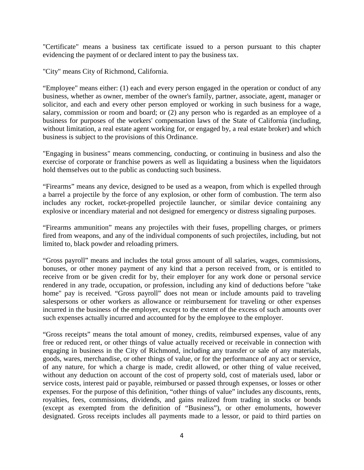"Certificate" means a business tax certificate issued to a person pursuant to this chapter evidencing the payment of or declared intent to pay the business tax.

"City" means City of Richmond, California.

"Employee" means either: (1) each and every person engaged in the operation or conduct of any business, whether as owner, member of the owner's family, partner, associate, agent, manager or solicitor, and each and every other person employed or working in such business for a wage, salary, commission or room and board; or (2) any person who is regarded as an employee of a business for purposes of the workers' compensation laws of the State of California (including, without limitation, a real estate agent working for, or engaged by, a real estate broker) and which business is subject to the provisions of this Ordinance.

"Engaging in business" means commencing, conducting, or continuing in business and also the exercise of corporate or franchise powers as well as liquidating a business when the liquidators hold themselves out to the public as conducting such business.

"Firearms" means any device, designed to be used as a weapon, from which is expelled through a barrel a projectile by the force of any explosion, or other form of combustion. The term also includes any rocket, rocket-propelled projectile launcher, or similar device containing any explosive or incendiary material and not designed for emergency or distress signaling purposes.

"Firearms ammunition" means any projectiles with their fuses, propelling charges, or primers fired from weapons, and any of the individual components of such projectiles, including, but not limited to, black powder and reloading primers.

"Gross payroll" means and includes the total gross amount of all salaries, wages, commissions, bonuses, or other money payment of any kind that a person received from, or is entitled to receive from or be given credit for by, their employer for any work done or personal service rendered in any trade, occupation, or profession, including any kind of deductions before "take home" pay is received. "Gross payroll" does not mean or include amounts paid to traveling salespersons or other workers as allowance or reimbursement for traveling or other expenses incurred in the business of the employer, except to the extent of the excess of such amounts over such expenses actually incurred and accounted for by the employee to the employer.

"Gross receipts" means the total amount of money, credits, reimbursed expenses, value of any free or reduced rent, or other things of value actually received or receivable in connection with engaging in business in the City of Richmond, including any transfer or sale of any materials, goods, wares, merchandise, or other things of value, or for the performance of any act or service, of any nature, for which a charge is made, credit allowed, or other thing of value received, without any deduction on account of the cost of property sold, cost of materials used, labor or service costs, interest paid or payable, reimbursed or passed through expenses, or losses or other expenses. For the purpose of this definition, "other things of value" includes any discounts, rents, royalties, fees, commissions, dividends, and gains realized from trading in stocks or bonds (except as exempted from the definition of "Business"), or other emoluments, however designated. Gross receipts includes all payments made to a lessor, or paid to third parties on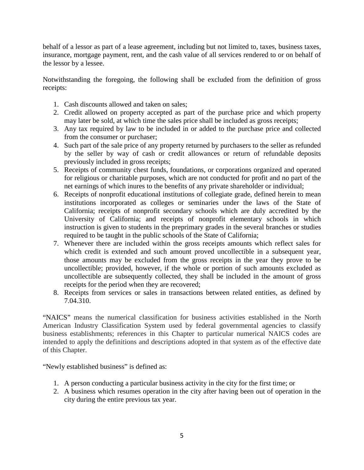behalf of a lessor as part of a lease agreement, including but not limited to, taxes, business taxes, insurance, mortgage payment, rent, and the cash value of all services rendered to or on behalf of the lessor by a lessee.

Notwithstanding the foregoing, the following shall be excluded from the definition of gross receipts:

- 1. Cash discounts allowed and taken on sales;
- 2. Credit allowed on property accepted as part of the purchase price and which property may later be sold, at which time the sales price shall be included as gross receipts;
- 3. Any tax required by law to be included in or added to the purchase price and collected from the consumer or purchaser;
- 4. Such part of the sale price of any property returned by purchasers to the seller as refunded by the seller by way of cash or credit allowances or return of refundable deposits previously included in gross receipts;
- 5. Receipts of community chest funds, foundations, or corporations organized and operated for religious or charitable purposes, which are not conducted for profit and no part of the net earnings of which inures to the benefits of any private shareholder or individual;
- 6. Receipts of nonprofit educational institutions of collegiate grade, defined herein to mean institutions incorporated as colleges or seminaries under the laws of the State of California; receipts of nonprofit secondary schools which are duly accredited by the University of California; and receipts of nonprofit elementary schools in which instruction is given to students in the preprimary grades in the several branches or studies required to be taught in the public schools of the State of California;
- 7. Whenever there are included within the gross receipts amounts which reflect sales for which credit is extended and such amount proved uncollectible in a subsequent year, those amounts may be excluded from the gross receipts in the year they prove to be uncollectible; provided, however, if the whole or portion of such amounts excluded as uncollectible are subsequently collected, they shall be included in the amount of gross receipts for the period when they are recovered;
- 8. Receipts from services or sales in transactions between related entities, as defined by 7.04.310.

"NAICS" means the numerical classification for business activities established in the North American Industry Classification System used by federal governmental agencies to classify business establishments; references in this Chapter to particular numerical NAICS codes are intended to apply the definitions and descriptions adopted in that system as of the effective date of this Chapter.

"Newly established business" is defined as:

- 1. A person conducting a particular business activity in the city for the first time; or
- 2. A business which resumes operation in the city after having been out of operation in the city during the entire previous tax year.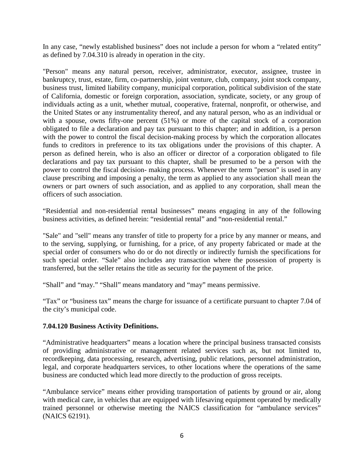In any case, "newly established business" does not include a person for whom a "related entity" as defined by 7.04.310 is already in operation in the city.

"Person" means any natural person, receiver, administrator, executor, assignee, trustee in bankruptcy, trust, estate, firm, co-partnership, joint venture, club, company, joint stock company, business trust, limited liability company, municipal corporation, political subdivision of the state of California, domestic or foreign corporation, association, syndicate, society, or any group of individuals acting as a unit, whether mutual, cooperative, fraternal, nonprofit, or otherwise, and the United States or any instrumentality thereof, and any natural person, who as an individual or with a spouse, owns fifty-one percent (51%) or more of the capital stock of a corporation obligated to file a declaration and pay tax pursuant to this chapter; and in addition, is a person with the power to control the fiscal decision-making process by which the corporation allocates funds to creditors in preference to its tax obligations under the provisions of this chapter. A person as defined herein, who is also an officer or director of a corporation obligated to file declarations and pay tax pursuant to this chapter, shall be presumed to be a person with the power to control the fiscal decision- making process. Whenever the term "person" is used in any clause prescribing and imposing a penalty, the term as applied to any association shall mean the owners or part owners of such association, and as applied to any corporation, shall mean the officers of such association.

"Residential and non-residential rental businesses" means engaging in any of the following business activities, as defined herein: "residential rental" and "non-residential rental."

"Sale" and "sell" means any transfer of title to property for a price by any manner or means, and to the serving, supplying, or furnishing, for a price, of any property fabricated or made at the special order of consumers who do or do not directly or indirectly furnish the specifications for such special order. "Sale" also includes any transaction where the possession of property is transferred, but the seller retains the title as security for the payment of the price.

"Shall" and "may." "Shall" means mandatory and "may" means permissive.

"Tax" or "business tax" means the charge for issuance of a certificate pursuant to chapter 7.04 of the city's municipal code.

## **7.04.120 Business Activity Definitions.**

"Administrative headquarters" means a location where the principal business transacted consists of providing administrative or management related services such as, but not limited to, recordkeeping, data processing, research, advertising, public relations, personnel administration, legal, and corporate headquarters services, to other locations where the operations of the same business are conducted which lead more directly to the production of gross receipts.

"Ambulance service" means either providing transportation of patients by ground or air, along with medical care, in vehicles that are equipped with lifesaving equipment operated by medically trained personnel or otherwise meeting the NAICS classification for "ambulance services" (NAICS 62191).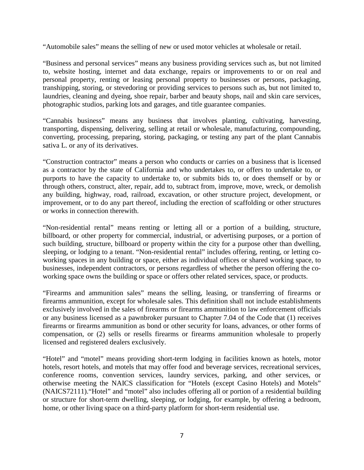"Automobile sales" means the selling of new or used motor vehicles at wholesale or retail.

"Business and personal services" means any business providing services such as, but not limited to, website hosting, internet and data exchange, repairs or improvements to or on real and personal property, renting or leasing personal property to businesses or persons, packaging, transhipping, storing, or stevedoring or providing services to persons such as, but not limited to, laundries, cleaning and dyeing, shoe repair, barber and beauty shops, nail and skin care services, photographic studios, parking lots and garages, and title guarantee companies.

"Cannabis business" means any business that involves planting, cultivating, harvesting, transporting, dispensing, delivering, selling at retail or wholesale, manufacturing, compounding, converting, processing, preparing, storing, packaging, or testing any part of the plant Cannabis sativa L. or any of its derivatives.

"Construction contractor" means a person who conducts or carries on a business that is licensed as a contractor by the state of California and who undertakes to, or offers to undertake to, or purports to have the capacity to undertake to, or submits bids to, or does themself or by or through others, construct, alter, repair, add to, subtract from, improve, move, wreck, or demolish any building, highway, road, railroad, excavation, or other structure project, development, or improvement, or to do any part thereof, including the erection of scaffolding or other structures or works in connection therewith.

"Non-residential rental" means renting or letting all or a portion of a building, structure, billboard, or other property for commercial, industrial, or advertising purposes, or a portion of such building, structure, billboard or property within the city for a purpose other than dwelling, sleeping, or lodging to a tenant. "Non-residential rental" includes offering, renting, or letting coworking spaces in any building or space, either as individual offices or shared working space, to businesses, independent contractors, or persons regardless of whether the person offering the coworking space owns the building or space or offers other related services, space, or products.

"Firearms and ammunition sales" means the selling, leasing, or transferring of firearms or firearms ammunition, except for wholesale sales. This definition shall not include establishments exclusively involved in the sales of firearms or firearms ammunition to law enforcement officials or any business licensed as a pawnbroker pursuant to Chapter 7.04 of the Code that (1) receives firearms or firearms ammunition as bond or other security for loans, advances, or other forms of compensation, or (2) sells or resells firearms or firearms ammunition wholesale to properly licensed and registered dealers exclusively.

"Hotel" and "motel" means providing short-term lodging in facilities known as hotels, motor hotels, resort hotels, and motels that may offer food and beverage services, recreational services, conference rooms, convention services, laundry services, parking, and other services, or otherwise meeting the NAICS classification for "Hotels (except Casino Hotels) and Motels" (NAICS72111)."Hotel" and "motel" also includes offering all or portion of a residential building or structure for short-term dwelling, sleeping, or lodging, for example, by offering a bedroom, home, or other living space on a third-party platform for short-term residential use.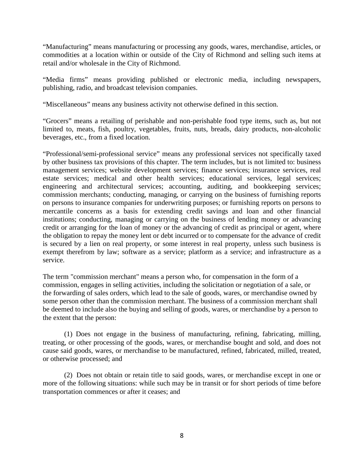"Manufacturing" means manufacturing or processing any goods, wares, merchandise, articles, or commodities at a location within or outside of the City of Richmond and selling such items at retail and/or wholesale in the City of Richmond.

"Media firms" means providing published or electronic media, including newspapers, publishing, radio, and broadcast television companies.

"Miscellaneous" means any business activity not otherwise defined in this section.

"Grocers" means a retailing of perishable and non-perishable food type items, such as, but not limited to, meats, fish, poultry, vegetables, fruits, nuts, breads, dairy products, non-alcoholic beverages, etc., from a fixed location.

"Professional/semi-professional service" means any professional services not specifically taxed by other business tax provisions of this chapter. The term includes, but is not limited to: business management services; website development services; finance services; insurance services, real estate services; medical and other health services; educational services, legal services; engineering and architectural services; accounting, auditing, and bookkeeping services; commission merchants; conducting, managing, or carrying on the business of furnishing reports on persons to insurance companies for underwriting purposes; or furnishing reports on persons to mercantile concerns as a basis for extending credit savings and loan and other financial institutions; conducting, managing or carrying on the business of lending money or advancing credit or arranging for the loan of money or the advancing of credit as principal or agent, where the obligation to repay the money lent or debt incurred or to compensate for the advance of credit is secured by a lien on real property, or some interest in real property, unless such business is exempt therefrom by law; software as a service; platform as a service; and infrastructure as a service.

The term "commission merchant" means a person who, for compensation in the form of a commission, engages in selling activities, including the solicitation or negotiation of a sale, or the forwarding of sales orders, which lead to the sale of goods, wares, or merchandise owned by some person other than the commission merchant. The business of a commission merchant shall be deemed to include also the buying and selling of goods, wares, or merchandise by a person to the extent that the person:

(1) Does not engage in the business of manufacturing, refining, fabricating, milling, treating, or other processing of the goods, wares, or merchandise bought and sold, and does not cause said goods, wares, or merchandise to be manufactured, refined, fabricated, milled, treated, or otherwise processed; and

(2) Does not obtain or retain title to said goods, wares, or merchandise except in one or more of the following situations: while such may be in transit or for short periods of time before transportation commences or after it ceases; and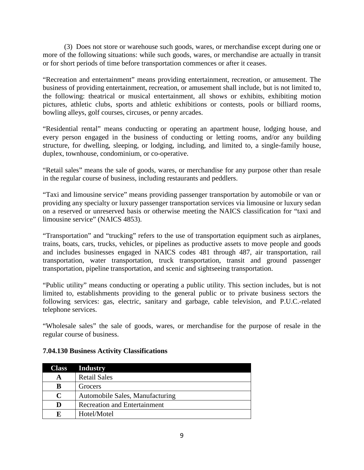(3) Does not store or warehouse such goods, wares, or merchandise except during one or more of the following situations: while such goods, wares, or merchandise are actually in transit or for short periods of time before transportation commences or after it ceases.

"Recreation and entertainment" means providing entertainment, recreation, or amusement. The business of providing entertainment, recreation, or amusement shall include, but is not limited to, the following: theatrical or musical entertainment, all shows or exhibits, exhibiting motion pictures, athletic clubs, sports and athletic exhibitions or contests, pools or billiard rooms, bowling alleys, golf courses, circuses, or penny arcades.

"Residential rental" means conducting or operating an apartment house, lodging house, and every person engaged in the business of conducting or letting rooms, and/or any building structure, for dwelling, sleeping, or lodging, including, and limited to, a single-family house, duplex, townhouse, condominium, or co-operative.

"Retail sales" means the sale of goods, wares, or merchandise for any purpose other than resale in the regular course of business, including restaurants and peddlers.

"Taxi and limousine service" means providing passenger transportation by automobile or van or providing any specialty or luxury passenger transportation services via limousine or luxury sedan on a reserved or unreserved basis or otherwise meeting the NAICS classification for "taxi and limousine service" (NAICS 4853).

"Transportation" and "trucking" refers to the use of transportation equipment such as airplanes, trains, boats, cars, trucks, vehicles, or pipelines as productive assets to move people and goods and includes businesses engaged in NAICS codes 481 through 487, air transportation, rail transportation, water transportation, truck transportation, transit and ground passenger transportation, pipeline transportation, and scenic and sightseeing transportation.

"Public utility" means conducting or operating a public utility. This section includes, but is not limited to, establishments providing to the general public or to private business sectors the following services: gas, electric, sanitary and garbage, cable television, and P.U.C.-related telephone services.

"Wholesale sales" the sale of goods, wares, or merchandise for the purpose of resale in the regular course of business.

| <b>Class</b> | <b>Industry</b>                     |
|--------------|-------------------------------------|
|              | <b>Retail Sales</b>                 |
| В            | Grocers                             |
| C            | Automobile Sales, Manufacturing     |
| D            | <b>Recreation and Entertainment</b> |
| E            | Hotel/Motel                         |

### **7.04.130 Business Activity Classifications**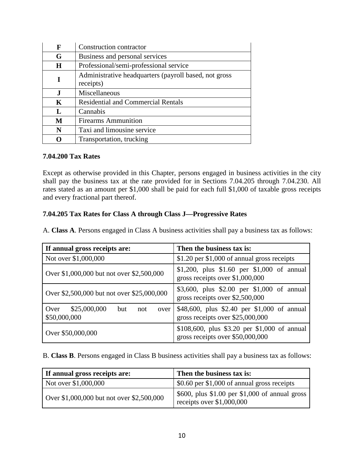| F           | Construction contractor                                            |
|-------------|--------------------------------------------------------------------|
| G           | Business and personal services                                     |
| H           | Professional/semi-professional service                             |
| T           | Administrative headquarters (payroll based, not gross<br>receipts) |
| J.          | Miscellaneous                                                      |
| $\mathbf K$ | <b>Residential and Commercial Rentals</b>                          |
| L           | Cannabis                                                           |
| M           | <b>Firearms Ammunition</b>                                         |
| N           | Taxi and limousine service                                         |
| 0           | Transportation, trucking                                           |

#### **7.04.200 Tax Rates**

Except as otherwise provided in this Chapter, persons engaged in business activities in the city shall pay the business tax at the rate provided for in Sections 7.04.205 through 7.04.230. All rates stated as an amount per \$1,000 shall be paid for each full \$1,000 of taxable gross receipts and every fractional part thereof.

# **7.04.205 Tax Rates for Class A through Class J—Progressive Rates**

A. **Class A**. Persons engaged in Class A business activities shall pay a business tax as follows:

| If annual gross receipts are:                              | Then the business tax is:                                                        |
|------------------------------------------------------------|----------------------------------------------------------------------------------|
| Not over \$1,000,000                                       | \$1.20 per \$1,000 of annual gross receipts                                      |
| Over \$1,000,000 but not over \$2,500,000                  | \$1,200, plus \$1.60 per \$1,000 of annual<br>gross receipts over \$1,000,000    |
| Over \$2,500,000 but not over \$25,000,000                 | \$3,600, plus \$2.00 per \$1,000 of annual<br>gross receipts over \$2,500,000    |
| \$25,000,000<br>Over<br>but<br>not<br>over<br>\$50,000,000 | \$48,600, plus \$2.40 per \$1,000 of annual<br>gross receipts over \$25,000,000  |
| Over \$50,000,000                                          | \$108,600, plus \$3.20 per \$1,000 of annual<br>gross receipts over \$50,000,000 |

B. **Class B**. Persons engaged in Class B business activities shall pay a business tax as follows:

| If annual gross receipts are:             | Then the business tax is:                                                      |
|-------------------------------------------|--------------------------------------------------------------------------------|
| Not over \$1,000,000                      | $$0.60$ per \$1,000 of annual gross receipts                                   |
| Over \$1,000,000 but not over \$2,500,000 | $$600$ , plus \$1.00 per \$1,000 of annual gross<br>receipts over $$1,000,000$ |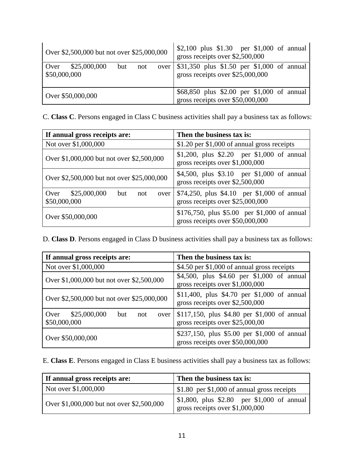| Over \$2,500,000 but not over \$25,000,000               | \$2,100 plus \$1.30 per \$1,000 of annual<br>gross receipts over \$2,500,000         |
|----------------------------------------------------------|--------------------------------------------------------------------------------------|
| $\sqrt{Over}$ \$25,000,000<br>but<br>not<br>\$50,000,000 | over \\$31,350 plus \$1.50 per \$1,000 of annual<br>gross receipts over \$25,000,000 |
| Over \$50,000,000                                        | \$68,850 plus \$2.00 per \$1,000 of annual<br>gross receipts over \$50,000,000       |

C. **Class C**. Persons engaged in Class C business activities shall pay a business tax as follows:

| If annual gross receipts are:                              | Then the business tax is:                                                        |
|------------------------------------------------------------|----------------------------------------------------------------------------------|
| Not over \$1,000,000                                       | \$1.20 per \$1,000 of annual gross receipts                                      |
| Over \$1,000,000 but not over \$2,500,000                  | \$1,200, plus \$2.20 per \$1,000 of annual<br>gross receipts over \$1,000,000    |
| Over \$2,500,000 but not over \$25,000,000                 | \$4,500, plus \$3.10 per \$1,000 of annual<br>gross receipts over \$2,500,000    |
| \$25,000,000<br>Over<br>but<br>not<br>over<br>\$50,000,000 | \$74,250, plus \$4.10 per \$1,000 of annual<br>gross receipts over \$25,000,000  |
| Over \$50,000,000                                          | \$176,750, plus \$5.00 per \$1,000 of annual<br>gross receipts over \$50,000,000 |

D. **Class D**. Persons engaged in Class D business activities shall pay a business tax as follows:

| If annual gross receipts are:                              | Then the business tax is:                                                        |
|------------------------------------------------------------|----------------------------------------------------------------------------------|
| Not over \$1,000,000                                       | \$4.50 per \$1,000 of annual gross receipts                                      |
| Over \$1,000,000 but not over \$2,500,000                  | \$4,500, plus \$4.60 per \$1,000 of annual<br>gross receipts over \$1,000,000    |
| Over \$2,500,000 but not over \$25,000,000                 | \$11,400, plus \$4.70 per \$1,000 of annual<br>gross receipts over \$2,500,000   |
| \$25,000,000<br>Over<br>but<br>not<br>over<br>\$50,000,000 | \$117,150, plus \$4.80 per \$1,000 of annual<br>gross receipts over \$25,000,00  |
| Over \$50,000,000                                          | \$237,150, plus \$5.00 per \$1,000 of annual<br>gross receipts over \$50,000,000 |

E. **Class E**. Persons engaged in Class E business activities shall pay a business tax as follows:

| If annual gross receipts are:             | Then the business tax is:                                                                    |
|-------------------------------------------|----------------------------------------------------------------------------------------------|
| Not over \$1,000,000                      | $\frac{1}{2}$ \$1.80 per \$1,000 of annual gross receipts                                    |
| Over \$1,000,000 but not over \$2,500,000 | $\frac{1}{2}$ \$1,800, plus \$2.80 per \$1,000 of annual<br>gross receipts over $$1,000,000$ |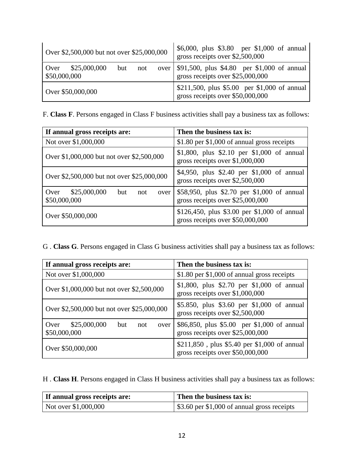| Over \$2,500,000 but not over \$25,000,000         | \$6,000, plus \$3.80 per \$1,000 of annual<br>gross receipts over \$2,500,000                       |
|----------------------------------------------------|-----------------------------------------------------------------------------------------------------|
| \$25,000,000<br>Over<br>but<br>not<br>\$50,000,000 | over \ \, \$91,500, plus \, \$4.80 \ per \, \$1,000 \ of annual<br>gross receipts over \$25,000,000 |
| Over \$50,000,000                                  | \$211,500, plus \$5.00 per \$1,000 of annual<br>gross receipts over \$50,000,000                    |

F. **Class F**. Persons engaged in Class F business activities shall pay a business tax as follows:

| If annual gross receipts are:                           | Then the business tax is:                                                        |
|---------------------------------------------------------|----------------------------------------------------------------------------------|
| Not over \$1,000,000                                    | \$1.80 per \$1,000 of annual gross receipts                                      |
| Over \$1,000,000 but not over \$2,500,000               | \$1,800, plus \$2.10 per \$1,000 of annual<br>gross receipts over \$1,000,000    |
| Over \$2,500,000 but not over \$25,000,000              | \$4,950, plus \$2.40 per \$1,000 of annual<br>gross receipts over $$2,500,000$   |
| Over \$25,000,000<br>but<br>not<br>over<br>\$50,000,000 | \$58,950, plus \$2.70 per \$1,000 of annual<br>gross receipts over $$25,000,000$ |
| Over \$50,000,000                                       | \$126,450, plus \$3.00 per \$1,000 of annual<br>gross receipts over \$50,000,000 |

G . **Class G**. Persons engaged in Class G business activities shall pay a business tax as follows:

| If annual gross receipts are:                              | Then the business tax is:                                                        |
|------------------------------------------------------------|----------------------------------------------------------------------------------|
| Not over \$1,000,000                                       | \$1.80 per \$1,000 of annual gross receipts                                      |
| Over \$1,000,000 but not over \$2,500,000                  | \$1,800, plus \$2.70 per \$1,000 of annual<br>gross receipts over \$1,000,000    |
| Over \$2,500,000 but not over \$25,000,000                 | \$5.850, plus \$3.60 per \$1,000 of annual<br>gross receipts over \$2,500,000    |
| \$25,000,000<br>Over<br>but<br>not<br>over<br>\$50,000,000 | \$86,850, plus \$5.00 per \$1,000 of annual<br>gross receipts over \$25,000,000  |
| Over \$50,000,000                                          | \$211,850, plus \$5.40 per \$1,000 of annual<br>gross receipts over \$50,000,000 |

H . **Class H**. Persons engaged in Class H business activities shall pay a business tax as follows:

| If annual gross receipts are: | Then the business tax is:                                 |
|-------------------------------|-----------------------------------------------------------|
| Not over \$1,000,000          | $\frac{1}{2}$ \$3.60 per \$1,000 of annual gross receipts |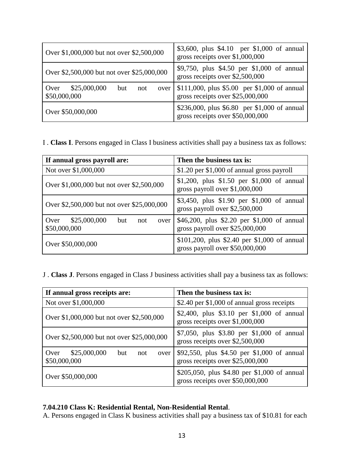| Over \$1,000,000 but not over \$2,500,000                  | \$3,600, plus \$4.10 per \$1,000 of annual<br>gross receipts over \$1,000,000    |
|------------------------------------------------------------|----------------------------------------------------------------------------------|
| Over \$2,500,000 but not over \$25,000,000                 | \$9,750, plus \$4.50 per \$1,000 of annual<br>gross receipts over \$2,500,000    |
| \$25,000,000<br>Over<br>but<br>not<br>over<br>\$50,000,000 | \$111,000, plus \$5.00 per \$1,000 of annual<br>gross receipts over \$25,000,000 |
| Over \$50,000,000                                          | \$236,000, plus \$6.80 per \$1,000 of annual<br>gross receipts over \$50,000,000 |

I . **Class I**. Persons engaged in Class I business activities shall pay a business tax as follows:

| If annual gross payroll are:                               | Then the business tax is:                                                       |
|------------------------------------------------------------|---------------------------------------------------------------------------------|
| Not over \$1,000,000                                       | \$1.20 per \$1,000 of annual gross payroll                                      |
| Over \$1,000,000 but not over \$2,500,000                  | \$1,200, plus \$1.50 per \$1,000 of annual<br>gross payroll over \$1,000,000    |
| Over \$2,500,000 but not over \$25,000,000                 | \$3,450, plus \$1.90 per \$1,000 of annual<br>gross payroll over \$2,500,000    |
| \$25,000,000<br>Over<br>but<br>not<br>over<br>\$50,000,000 | \$46,200, plus \$2.20 per \$1,000 of annual<br>gross payroll over \$25,000,000  |
| Over \$50,000,000                                          | \$101,200, plus \$2.40 per \$1,000 of annual<br>gross payroll over \$50,000,000 |

J . **Class J**. Persons engaged in Class J business activities shall pay a business tax as follows:

| If annual gross receipts are:                              | Then the business tax is:                                                        |
|------------------------------------------------------------|----------------------------------------------------------------------------------|
| Not over \$1,000,000                                       | \$2.40 per \$1,000 of annual gross receipts                                      |
| Over \$1,000,000 but not over \$2,500,000                  | \$2,400, plus \$3.10 per \$1,000 of annual<br>gross receipts over \$1,000,000    |
| Over \$2,500,000 but not over \$25,000,000                 | \$7,050, plus \$3.80 per \$1,000 of annual<br>gross receipts over \$2,500,000    |
| \$25,000,000<br>Over<br>but<br>not<br>over<br>\$50,000,000 | \$92,550, plus \$4.50 per \$1,000 of annual<br>gross receipts over \$25,000,000  |
| Over \$50,000,000                                          | \$205,050, plus \$4.80 per \$1,000 of annual<br>gross receipts over \$50,000,000 |

### **7.04.210 Class K: Residential Rental, Non-Residential Rental**.

A. Persons engaged in Class K business activities shall pay a business tax of \$10.81 for each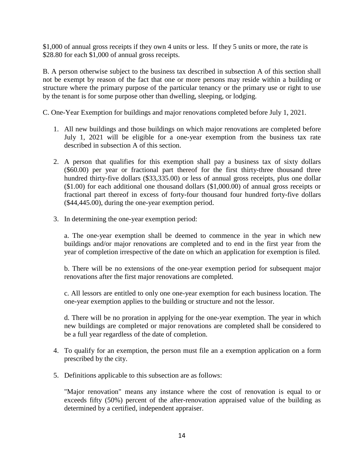\$1,000 of annual gross receipts if they own 4 units or less. If they 5 units or more, the rate is \$28.80 for each \$1,000 of annual gross receipts.

B. A person otherwise subject to the business tax described in subsection A of this section shall not be exempt by reason of the fact that one or more persons may reside within a building or structure where the primary purpose of the particular tenancy or the primary use or right to use by the tenant is for some purpose other than dwelling, sleeping, or lodging.

C. One-Year Exemption for buildings and major renovations completed before July 1, 2021.

- 1. All new buildings and those buildings on which major renovations are completed before July 1, 2021 will be eligible for a one-year exemption from the business tax rate described in subsection A of this section.
- 2. A person that qualifies for this exemption shall pay a business tax of sixty dollars (\$60.00) per year or fractional part thereof for the first thirty-three thousand three hundred thirty-five dollars (\$33,335.00) or less of annual gross receipts, plus one dollar (\$1.00) for each additional one thousand dollars (\$1,000.00) of annual gross receipts or fractional part thereof in excess of forty-four thousand four hundred forty-five dollars (\$44,445.00), during the one-year exemption period.
- 3. In determining the one-year exemption period:

a. The one-year exemption shall be deemed to commence in the year in which new buildings and/or major renovations are completed and to end in the first year from the year of completion irrespective of the date on which an application for exemption is filed.

b. There will be no extensions of the one-year exemption period for subsequent major renovations after the first major renovations are completed.

c. All lessors are entitled to only one one-year exemption for each business location. The one-year exemption applies to the building or structure and not the lessor.

d. There will be no proration in applying for the one-year exemption. The year in which new buildings are completed or major renovations are completed shall be considered to be a full year regardless of the date of completion.

- 4. To qualify for an exemption, the person must file an a exemption application on a form prescribed by the city.
- 5. Definitions applicable to this subsection are as follows:

"Major renovation" means any instance where the cost of renovation is equal to or exceeds fifty (50%) percent of the after-renovation appraised value of the building as determined by a certified, independent appraiser.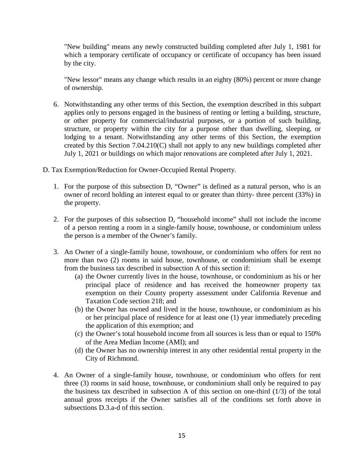"New building" means any newly constructed building completed after July 1, 1981 for which a temporary certificate of occupancy or certificate of occupancy has been issued by the city.

"New lessor" means any change which results in an eighty (80%) percent or more change of ownership.

- 6. Notwithstanding any other terms of this Section, the exemption described in this subpart applies only to persons engaged in the business of renting or letting a building, structure, or other property for commercial/industrial purposes, or a portion of such building, structure, or property within the city for a purpose other than dwelling, sleeping, or lodging to a tenant. Notwithstanding any other terms of this Section, the exemption created by this Section 7.04.210(C) shall not apply to any new buildings completed after July 1, 2021 or buildings on which major renovations are completed after July 1, 2021.
- D. Tax Exemption/Reduction for Owner-Occupied Rental Property.
	- 1. For the purpose of this subsection D, "Owner" is defined as a natural person, who is an owner of record holding an interest equal to or greater than thirty- three percent (33%) in the property.
	- 2. For the purposes of this subsection D, "household income" shall not include the income of a person renting a room in a single-family house, townhouse, or condominium unless the person is a member of the Owner's family.
	- 3. An Owner of a single-family house, townhouse, or condominium who offers for rent no more than two (2) rooms in said house, townhouse, or condominium shall be exempt from the business tax described in subsection A of this section if:
		- (a) the Owner currently lives in the house, townhouse, or condominium as his or her principal place of residence and has received the homeowner property tax exemption on their County property assessment under California Revenue and Taxation Code section 218; and
		- (b) the Owner has owned and lived in the house, townhouse, or condominium as his or her principal place of residence for at least one (1) year immediately preceding the application of this exemption; and
		- (c) the Owner's total household income from all sources is less than or equal to 150% of the Area Median Income (AMI); and
		- (d) the Owner has no ownership interest in any other residential rental property in the City of Richmond.
	- 4. An Owner of a single-family house, townhouse, or condominium who offers for rent three (3) rooms in said house, townhouse, or condominium shall only be required to pay the business tax described in subsection A of this section on one-third (1/3) of the total annual gross receipts if the Owner satisfies all of the conditions set forth above in subsections D.3.a-d of this section.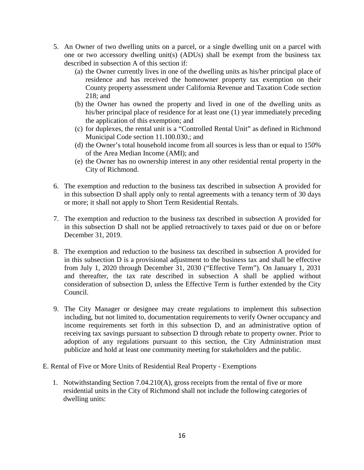- 5. An Owner of two dwelling units on a parcel, or a single dwelling unit on a parcel with one or two accessory dwelling unit(s) (ADUs) shall be exempt from the business tax described in subsection A of this section if:
	- (a) the Owner currently lives in one of the dwelling units as his/her principal place of residence and has received the homeowner property tax exemption on their County property assessment under California Revenue and Taxation Code section 218; and
	- (b) the Owner has owned the property and lived in one of the dwelling units as his/her principal place of residence for at least one (1) year immediately preceding the application of this exemption; and
	- (c) for duplexes, the rental unit is a "Controlled Rental Unit" as defined in Richmond Municipal Code section 11.100.030.; and
	- (d) the Owner's total household income from all sources is less than or equal to 150% of the Area Median Income (AMI); and
	- (e) the Owner has no ownership interest in any other residential rental property in the City of Richmond.
- 6. The exemption and reduction to the business tax described in subsection A provided for in this subsection D shall apply only to rental agreements with a tenancy term of 30 days or more; it shall not apply to Short Term Residential Rentals.
- 7. The exemption and reduction to the business tax described in subsection A provided for in this subsection D shall not be applied retroactively to taxes paid or due on or before December 31, 2019.
- 8. The exemption and reduction to the business tax described in subsection A provided for in this subsection D is a provisional adjustment to the business tax and shall be effective from July 1, 2020 through December 31, 2030 ("Effective Term"). On January 1, 2031 and thereafter, the tax rate described in subsection A shall be applied without consideration of subsection D, unless the Effective Term is further extended by the City Council.
- 9. The City Manager or designee may create regulations to implement this subsection including, but not limited to, documentation requirements to verify Owner occupancy and income requirements set forth in this subsection D, and an administrative option of receiving tax savings pursuant to subsection D through rebate to property owner. Prior to adoption of any regulations pursuant to this section, the City Administration must publicize and hold at least one community meeting for stakeholders and the public.
- E. Rental of Five or More Units of Residential Real Property Exemptions
	- 1. Notwithstanding Section 7.04.210(A), gross receipts from the rental of five or more residential units in the City of Richmond shall not include the following categories of dwelling units: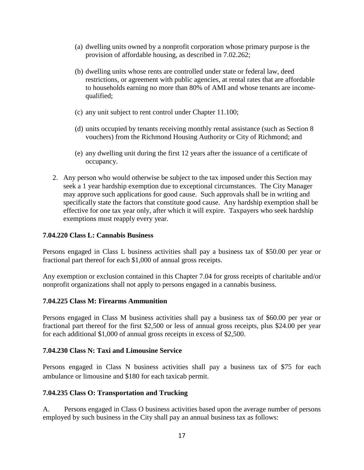- (a) dwelling units owned by a nonprofit corporation whose primary purpose is the provision of affordable housing, as described in 7.02.262;
- (b) dwelling units whose rents are controlled under state or federal law, deed restrictions, or agreement with public agencies, at rental rates that are affordable to households earning no more than 80% of AMI and whose tenants are incomequalified;
- (c) any unit subject to rent control under Chapter 11.100;
- (d) units occupied by tenants receiving monthly rental assistance (such as Section 8 vouchers) from the Richmond Housing Authority or City of Richmond; and
- (e) any dwelling unit during the first 12 years after the issuance of a certificate of occupancy.
- 2. Any person who would otherwise be subject to the tax imposed under this Section may seek a 1 year hardship exemption due to exceptional circumstances. The City Manager may approve such applications for good cause. Such approvals shall be in writing and specifically state the factors that constitute good cause. Any hardship exemption shall be effective for one tax year only, after which it will expire. Taxpayers who seek hardship exemptions must reapply every year.

#### **7.04.220 Class L: Cannabis Business**

Persons engaged in Class L business activities shall pay a business tax of \$50.00 per year or fractional part thereof for each \$1,000 of annual gross receipts.

Any exemption or exclusion contained in this Chapter 7.04 for gross receipts of charitable and/or nonprofit organizations shall not apply to persons engaged in a cannabis business.

#### **7.04.225 Class M: Firearms Ammunition**

Persons engaged in Class M business activities shall pay a business tax of \$60.00 per year or fractional part thereof for the first \$2,500 or less of annual gross receipts, plus \$24.00 per year for each additional \$1,000 of annual gross receipts in excess of \$2,500.

#### **7.04.230 Class N: Taxi and Limousine Service**

Persons engaged in Class N business activities shall pay a business tax of \$75 for each ambulance or limousine and \$180 for each taxicab permit.

#### **7.04.235 Class O: Transportation and Trucking**

A. Persons engaged in Class O business activities based upon the average number of persons employed by such business in the City shall pay an annual business tax as follows: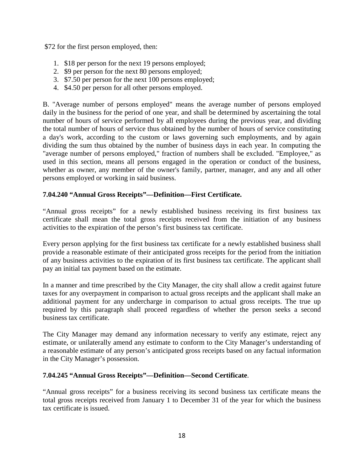\$72 for the first person employed, then:

- 1. \$18 per person for the next 19 persons employed;
- 2. \$9 per person for the next 80 persons employed;
- 3. \$7.50 per person for the next 100 persons employed;
- 4. \$4.50 per person for all other persons employed.

B. "Average number of persons employed" means the average number of persons employed daily in the business for the period of one year, and shall be determined by ascertaining the total number of hours of service performed by all employees during the previous year, and dividing the total number of hours of service thus obtained by the number of hours of service constituting a day's work, according to the custom or laws governing such employments, and by again dividing the sum thus obtained by the number of business days in each year. In computing the "average number of persons employed," fraction of numbers shall be excluded. "Employee," as used in this section, means all persons engaged in the operation or conduct of the business, whether as owner, any member of the owner's family, partner, manager, and any and all other persons employed or working in said business.

### **7.04.240 "Annual Gross Receipts"—Definition—First Certificate.**

"Annual gross receipts" for a newly established business receiving its first business tax certificate shall mean the total gross receipts received from the initiation of any business activities to the expiration of the person's first business tax certificate.

Every person applying for the first business tax certificate for a newly established business shall provide a reasonable estimate of their anticipated gross receipts for the period from the initiation of any business activities to the expiration of its first business tax certificate. The applicant shall pay an initial tax payment based on the estimate.

In a manner and time prescribed by the City Manager, the city shall allow a credit against future taxes for any overpayment in comparison to actual gross receipts and the applicant shall make an additional payment for any undercharge in comparison to actual gross receipts. The true up required by this paragraph shall proceed regardless of whether the person seeks a second business tax certificate.

The City Manager may demand any information necessary to verify any estimate, reject any estimate, or unilaterally amend any estimate to conform to the City Manager's understanding of a reasonable estimate of any person's anticipated gross receipts based on any factual information in the City Manager's possession.

#### **7.04.245 "Annual Gross Receipts"—Definition—Second Certificate**.

"Annual gross receipts" for a business receiving its second business tax certificate means the total gross receipts received from January 1 to December 31 of the year for which the business tax certificate is issued.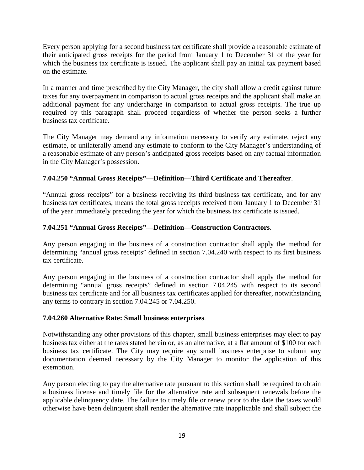Every person applying for a second business tax certificate shall provide a reasonable estimate of their anticipated gross receipts for the period from January 1 to December 31 of the year for which the business tax certificate is issued. The applicant shall pay an initial tax payment based on the estimate.

In a manner and time prescribed by the City Manager, the city shall allow a credit against future taxes for any overpayment in comparison to actual gross receipts and the applicant shall make an additional payment for any undercharge in comparison to actual gross receipts. The true up required by this paragraph shall proceed regardless of whether the person seeks a further business tax certificate.

The City Manager may demand any information necessary to verify any estimate, reject any estimate, or unilaterally amend any estimate to conform to the City Manager's understanding of a reasonable estimate of any person's anticipated gross receipts based on any factual information in the City Manager's possession.

## **7.04.250 "Annual Gross Receipts"—Definition—Third Certificate and Thereafter**.

"Annual gross receipts" for a business receiving its third business tax certificate, and for any business tax certificates, means the total gross receipts received from January 1 to December 31 of the year immediately preceding the year for which the business tax certificate is issued.

# **7.04.251 "Annual Gross Receipts"—Definition—Construction Contractors**.

Any person engaging in the business of a construction contractor shall apply the method for determining "annual gross receipts" defined in section 7.04.240 with respect to its first business tax certificate.

Any person engaging in the business of a construction contractor shall apply the method for determining "annual gross receipts" defined in section 7.04.245 with respect to its second business tax certificate and for all business tax certificates applied for thereafter, notwithstanding any terms to contrary in section 7.04.245 or 7.04.250.

## **7.04.260 Alternative Rate: Small business enterprises**.

Notwithstanding any other provisions of this chapter, small business enterprises may elect to pay business tax either at the rates stated herein or, as an alternative, at a flat amount of \$100 for each business tax certificate. The City may require any small business enterprise to submit any documentation deemed necessary by the City Manager to monitor the application of this exemption.

Any person electing to pay the alternative rate pursuant to this section shall be required to obtain a business license and timely file for the alternative rate and subsequent renewals before the applicable delinquency date. The failure to timely file or renew prior to the date the taxes would otherwise have been delinquent shall render the alternative rate inapplicable and shall subject the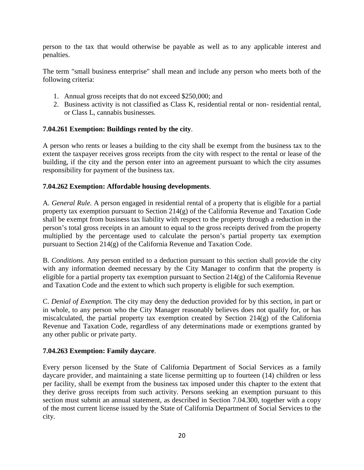person to the tax that would otherwise be payable as well as to any applicable interest and penalties.

The term "small business enterprise" shall mean and include any person who meets both of the following criteria:

- 1. Annual gross receipts that do not exceed \$250,000; and
- 2. Business activity is not classified as Class K, residential rental or non- residential rental, or Class L, cannabis businesses.

### **7.04.261 Exemption: Buildings rented by the city**.

A person who rents or leases a building to the city shall be exempt from the business tax to the extent the taxpayer receives gross receipts from the city with respect to the rental or lease of the building, if the city and the person enter into an agreement pursuant to which the city assumes responsibility for payment of the business tax.

### **7.04.262 Exemption: Affordable housing developments**.

A. *General Rule.* A person engaged in residential rental of a property that is eligible for a partial property tax exemption pursuant to Section 214(g) of the California Revenue and Taxation Code shall be exempt from business tax liability with respect to the property through a reduction in the person's total gross receipts in an amount to equal to the gross receipts derived from the property multiplied by the percentage used to calculate the person's partial property tax exemption pursuant to Section 214(g) of the California Revenue and Taxation Code.

B. *Conditions.* Any person entitled to a deduction pursuant to this section shall provide the city with any information deemed necessary by the City Manager to confirm that the property is eligible for a partial property tax exemption pursuant to Section  $214(g)$  of the California Revenue and Taxation Code and the extent to which such property is eligible for such exemption.

C. *Denial of Exemption.* The city may deny the deduction provided for by this section, in part or in whole, to any person who the City Manager reasonably believes does not qualify for, or has miscalculated, the partial property tax exemption created by Section 214(g) of the California Revenue and Taxation Code, regardless of any determinations made or exemptions granted by any other public or private party.

#### **7.04.263 Exemption: Family daycare**.

Every person licensed by the State of California Department of Social Services as a family daycare provider, and maintaining a state license permitting up to fourteen (14) children or less per facility, shall be exempt from the business tax imposed under this chapter to the extent that they derive gross receipts from such activity. Persons seeking an exemption pursuant to this section must submit an annual statement, as described in Section 7.04.300, together with a copy of the most current license issued by the State of California Department of Social Services to the city.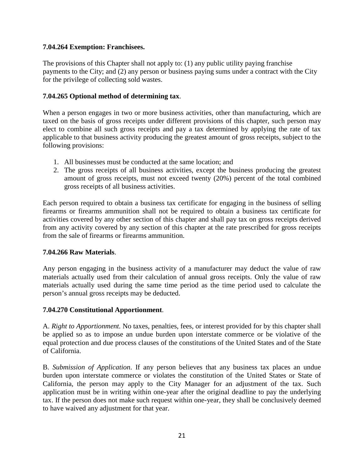### **7.04.264 Exemption: Franchisees.**

The provisions of this Chapter shall not apply to: (1) any public utility paying franchise payments to the City; and (2) any person or business paying sums under a contract with the City for the privilege of collecting sold wastes.

### **7.04.265 Optional method of determining tax**.

When a person engages in two or more business activities, other than manufacturing, which are taxed on the basis of gross receipts under different provisions of this chapter, such person may elect to combine all such gross receipts and pay a tax determined by applying the rate of tax applicable to that business activity producing the greatest amount of gross receipts, subject to the following provisions:

- 1. All businesses must be conducted at the same location; and
- 2. The gross receipts of all business activities, except the business producing the greatest amount of gross receipts, must not exceed twenty (20%) percent of the total combined gross receipts of all business activities.

Each person required to obtain a business tax certificate for engaging in the business of selling firearms or firearms ammunition shall not be required to obtain a business tax certificate for activities covered by any other section of this chapter and shall pay tax on gross receipts derived from any activity covered by any section of this chapter at the rate prescribed for gross receipts from the sale of firearms or firearms ammunition.

#### **7.04.266 Raw Materials**.

Any person engaging in the business activity of a manufacturer may deduct the value of raw materials actually used from their calculation of annual gross receipts. Only the value of raw materials actually used during the same time period as the time period used to calculate the person's annual gross receipts may be deducted.

#### **7.04.270 Constitutional Apportionment**.

A. *Right to Apportionment.* No taxes, penalties, fees, or interest provided for by this chapter shall be applied so as to impose an undue burden upon interstate commerce or be violative of the equal protection and due process clauses of the constitutions of the United States and of the State of California.

B. *Submission of Application*. If any person believes that any business tax places an undue burden upon interstate commerce or violates the constitution of the United States or State of California, the person may apply to the City Manager for an adjustment of the tax. Such application must be in writing within one-year after the original deadline to pay the underlying tax. If the person does not make such request within one-year, they shall be conclusively deemed to have waived any adjustment for that year.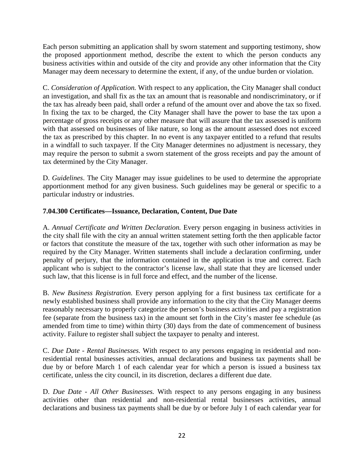Each person submitting an application shall by sworn statement and supporting testimony, show the proposed apportionment method, describe the extent to which the person conducts any business activities within and outside of the city and provide any other information that the City Manager may deem necessary to determine the extent, if any, of the undue burden or violation.

C. *Consideration of Application.* With respect to any application, the City Manager shall conduct an investigation, and shall fix as the tax an amount that is reasonable and nondiscriminatory, or if the tax has already been paid, shall order a refund of the amount over and above the tax so fixed. In fixing the tax to be charged, the City Manager shall have the power to base the tax upon a percentage of gross receipts or any other measure that will assure that the tax assessed is uniform with that assessed on businesses of like nature, so long as the amount assessed does not exceed the tax as prescribed by this chapter. In no event is any taxpayer entitled to a refund that results in a windfall to such taxpayer. If the City Manager determines no adjustment is necessary, they may require the person to submit a sworn statement of the gross receipts and pay the amount of tax determined by the City Manager.

D. *Guidelines*. The City Manager may issue guidelines to be used to determine the appropriate apportionment method for any given business. Such guidelines may be general or specific to a particular industry or industries.

## **7.04.300 Certificates—Issuance, Declaration, Content, Due Date**

A. *Annual Certificate and Written Declaration.* Every person engaging in business activities in the city shall file with the city an annual written statement setting forth the then applicable factor or factors that constitute the measure of the tax, together with such other information as may be required by the City Manager. Written statements shall include a declaration confirming, under penalty of perjury, that the information contained in the application is true and correct. Each applicant who is subject to the contractor's license law, shall state that they are licensed under such law, that this license is in full force and effect, and the number of the license.

B. *New Business Registration.* Every person applying for a first business tax certificate for a newly established business shall provide any information to the city that the City Manager deems reasonably necessary to properly categorize the person's business activities and pay a registration fee (separate from the business tax) in the amount set forth in the City's master fee schedule (as amended from time to time) within thirty (30) days from the date of commencement of business activity. Failure to register shall subject the taxpayer to penalty and interest.

C. *Due Date - Rental Businesses.* With respect to any persons engaging in residential and nonresidential rental businesses activities, annual declarations and business tax payments shall be due by or before March 1 of each calendar year for which a person is issued a business tax certificate, unless the city council, in its discretion, declares a different due date.

D. *Due Date - All Other Businesses.* With respect to any persons engaging in any business activities other than residential and non-residential rental businesses activities, annual declarations and business tax payments shall be due by or before July 1 of each calendar year for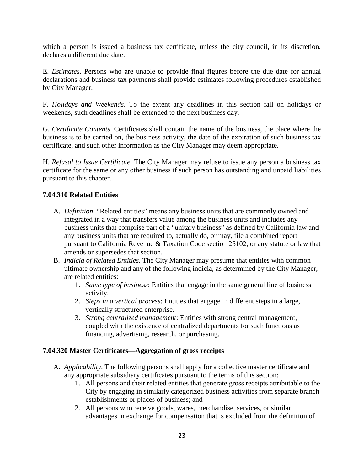which a person is issued a business tax certificate, unless the city council, in its discretion, declares a different due date.

E. *Estimates*. Persons who are unable to provide final figures before the due date for annual declarations and business tax payments shall provide estimates following procedures established by City Manager.

F. *Holidays and Weekends*. To the extent any deadlines in this section fall on holidays or weekends, such deadlines shall be extended to the next business day.

G. *Certificate Contents*. Certificates shall contain the name of the business, the place where the business is to be carried on, the business activity, the date of the expiration of such business tax certificate, and such other information as the City Manager may deem appropriate.

H. *Refusal to Issue Certificate*. The City Manager may refuse to issue any person a business tax certificate for the same or any other business if such person has outstanding and unpaid liabilities pursuant to this chapter.

## **7.04.310 Related Entities**

- A. *Definition.* "Related entities" means any business units that are commonly owned and integrated in a way that transfers value among the business units and includes any business units that comprise part of a "unitary business" as defined by California law and any business units that are required to, actually do, or may, file a combined report pursuant to California Revenue & Taxation Code section 25102, or any statute or law that amends or supersedes that section.
- B. *Indicia of Related Entities*. The City Manager may presume that entities with common ultimate ownership and any of the following indicia, as determined by the City Manager, are related entities:
	- 1. *Same type of business*: Entities that engage in the same general line of business activity.
	- 2. *Steps in a vertical process*: Entities that engage in different steps in a large, vertically structured enterprise.
	- 3. *Strong centralized management*: Entities with strong central management, coupled with the existence of centralized departments for such functions as financing, advertising, research, or purchasing.

## **7.04.320 Master Certificates—Aggregation of gross receipts**

- A. *Applicability*. The following persons shall apply for a collective master certificate and any appropriate subsidiary certificates pursuant to the terms of this section:
	- 1. All persons and their related entities that generate gross receipts attributable to the City by engaging in similarly categorized business activities from separate branch establishments or places of business; and
	- 2. All persons who receive goods, wares, merchandise, services, or similar advantages in exchange for compensation that is excluded from the definition of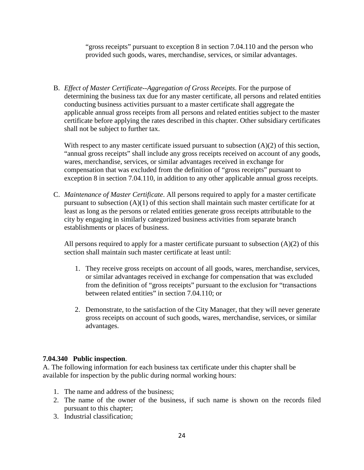"gross receipts" pursuant to exception 8 in section 7.04.110 and the person who provided such goods, wares, merchandise, services, or similar advantages.

B. *Effect of Master Certificate--Aggregation of Gross Receipts*. For the purpose of determining the business tax due for any master certificate, all persons and related entities conducting business activities pursuant to a master certificate shall aggregate the applicable annual gross receipts from all persons and related entities subject to the master certificate before applying the rates described in this chapter. Other subsidiary certificates shall not be subject to further tax.

With respect to any master certificate issued pursuant to subsection  $(A)(2)$  of this section, "annual gross receipts" shall include any gross receipts received on account of any goods, wares, merchandise, services, or similar advantages received in exchange for compensation that was excluded from the definition of "gross receipts" pursuant to exception 8 in section 7.04.110, in addition to any other applicable annual gross receipts.

C. *Maintenance of Master Certificate*. All persons required to apply for a master certificate pursuant to subsection (A)(1) of this section shall maintain such master certificate for at least as long as the persons or related entities generate gross receipts attributable to the city by engaging in similarly categorized business activities from separate branch establishments or places of business.

All persons required to apply for a master certificate pursuant to subsection  $(A)(2)$  of this section shall maintain such master certificate at least until:

- 1. They receive gross receipts on account of all goods, wares, merchandise, services, or similar advantages received in exchange for compensation that was excluded from the definition of "gross receipts" pursuant to the exclusion for "transactions between related entities" in section 7.04.110; or
- 2. Demonstrate, to the satisfaction of the City Manager, that they will never generate gross receipts on account of such goods, wares, merchandise, services, or similar advantages.

## **7.04.340 Public inspection**.

A. The following information for each business tax certificate under this chapter shall be available for inspection by the public during normal working hours:

- 1. The name and address of the business;
- 2. The name of the owner of the business, if such name is shown on the records filed pursuant to this chapter;
- 3. Industrial classification;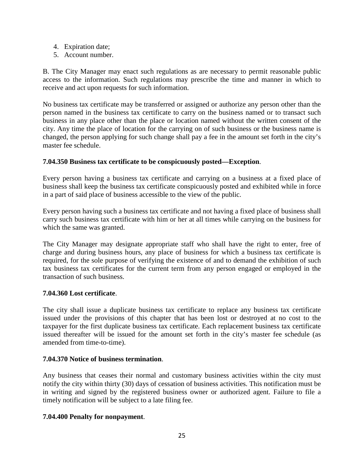- 4. Expiration date;
- 5. Account number.

B. The City Manager may enact such regulations as are necessary to permit reasonable public access to the information. Such regulations may prescribe the time and manner in which to receive and act upon requests for such information.

No business tax certificate may be transferred or assigned or authorize any person other than the person named in the business tax certificate to carry on the business named or to transact such business in any place other than the place or location named without the written consent of the city. Any time the place of location for the carrying on of such business or the business name is changed, the person applying for such change shall pay a fee in the amount set forth in the city's master fee schedule.

### **7.04.350 Business tax certificate to be conspicuously posted—Exception**.

Every person having a business tax certificate and carrying on a business at a fixed place of business shall keep the business tax certificate conspicuously posted and exhibited while in force in a part of said place of business accessible to the view of the public.

Every person having such a business tax certificate and not having a fixed place of business shall carry such business tax certificate with him or her at all times while carrying on the business for which the same was granted.

The City Manager may designate appropriate staff who shall have the right to enter, free of charge and during business hours, any place of business for which a business tax certificate is required, for the sole purpose of verifying the existence of and to demand the exhibition of such tax business tax certificates for the current term from any person engaged or employed in the transaction of such business.

#### **7.04.360 Lost certificate**.

The city shall issue a duplicate business tax certificate to replace any business tax certificate issued under the provisions of this chapter that has been lost or destroyed at no cost to the taxpayer for the first duplicate business tax certificate. Each replacement business tax certificate issued thereafter will be issued for the amount set forth in the city's master fee schedule (as amended from time-to-time).

#### **7.04.370 Notice of business termination**.

Any business that ceases their normal and customary business activities within the city must notify the city within thirty (30) days of cessation of business activities. This notification must be in writing and signed by the registered business owner or authorized agent. Failure to file a timely notification will be subject to a late filing fee.

#### **7.04.400 Penalty for nonpayment**.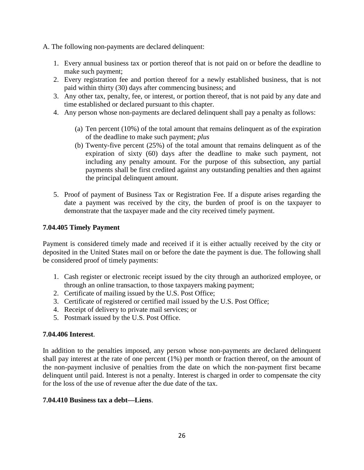- A. The following non-payments are declared delinquent:
	- 1. Every annual business tax or portion thereof that is not paid on or before the deadline to make such payment;
	- 2. Every registration fee and portion thereof for a newly established business, that is not paid within thirty (30) days after commencing business; and
	- 3. Any other tax, penalty, fee, or interest, or portion thereof, that is not paid by any date and time established or declared pursuant to this chapter.
	- 4. Any person whose non-payments are declared delinquent shall pay a penalty as follows:
		- (a) Ten percent (10%) of the total amount that remains delinquent as of the expiration of the deadline to make such payment; *plus*
		- (b) Twenty-five percent (25%) of the total amount that remains delinquent as of the expiration of sixty (60) days after the deadline to make such payment, not including any penalty amount. For the purpose of this subsection, any partial payments shall be first credited against any outstanding penalties and then against the principal delinquent amount.
	- 5. Proof of payment of Business Tax or Registration Fee. If a dispute arises regarding the date a payment was received by the city, the burden of proof is on the taxpayer to demonstrate that the taxpayer made and the city received timely payment.

## **7.04.405 Timely Payment**

Payment is considered timely made and received if it is either actually received by the city or deposited in the United States mail on or before the date the payment is due. The following shall be considered proof of timely payments:

- 1. Cash register or electronic receipt issued by the city through an authorized employee, or through an online transaction, to those taxpayers making payment;
- 2. Certificate of mailing issued by the U.S. Post Office;
- 3. Certificate of registered or certified mail issued by the U.S. Post Office;
- 4. Receipt of delivery to private mail services; or
- 5. Postmark issued by the U.S. Post Office.

## **7.04.406 Interest**.

In addition to the penalties imposed, any person whose non-payments are declared delinquent shall pay interest at the rate of one percent (1%) per month or fraction thereof, on the amount of the non-payment inclusive of penalties from the date on which the non-payment first became delinquent until paid. Interest is not a penalty. Interest is charged in order to compensate the city for the loss of the use of revenue after the due date of the tax.

## **7.04.410 Business tax a debt—Liens**.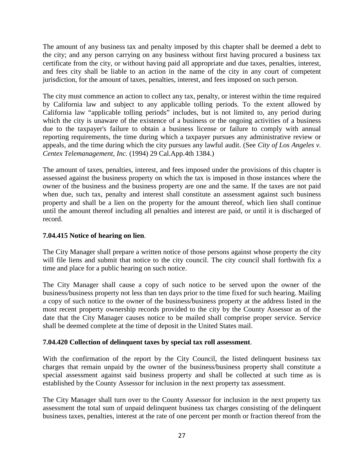The amount of any business tax and penalty imposed by this chapter shall be deemed a debt to the city; and any person carrying on any business without first having procured a business tax certificate from the city, or without having paid all appropriate and due taxes, penalties, interest, and fees city shall be liable to an action in the name of the city in any court of competent jurisdiction, for the amount of taxes, penalties, interest, and fees imposed on such person.

The city must commence an action to collect any tax, penalty, or interest within the time required by California law and subject to any applicable tolling periods. To the extent allowed by California law "applicable tolling periods" includes, but is not limited to, any period during which the city is unaware of the existence of a business or the ongoing activities of a business due to the taxpayer's failure to obtain a business license or failure to comply with annual reporting requirements, the time during which a taxpayer pursues any administrative review or appeals, and the time during which the city pursues any lawful audit. (See *City of Los Angeles v. Centex Telemanagement, Inc.* (1994) 29 Cal.App.4th 1384.)

The amount of taxes, penalties, interest, and fees imposed under the provisions of this chapter is assessed against the business property on which the tax is imposed in those instances where the owner of the business and the business property are one and the same. If the taxes are not paid when due, such tax, penalty and interest shall constitute an assessment against such business property and shall be a lien on the property for the amount thereof, which lien shall continue until the amount thereof including all penalties and interest are paid, or until it is discharged of record.

## **7.04.415 Notice of hearing on lien**.

The City Manager shall prepare a written notice of those persons against whose property the city will file liens and submit that notice to the city council. The city council shall forthwith fix a time and place for a public hearing on such notice.

The City Manager shall cause a copy of such notice to be served upon the owner of the business/business property not less than ten days prior to the time fixed for such hearing. Mailing a copy of such notice to the owner of the business/business property at the address listed in the most recent property ownership records provided to the city by the County Assessor as of the date that the City Manager causes notice to be mailed shall comprise proper service. Service shall be deemed complete at the time of deposit in the United States mail.

## **7.04.420 Collection of delinquent taxes by special tax roll assessment**.

With the confirmation of the report by the City Council, the listed delinquent business tax charges that remain unpaid by the owner of the business/business property shall constitute a special assessment against said business property and shall be collected at such time as is established by the County Assessor for inclusion in the next property tax assessment.

The City Manager shall turn over to the County Assessor for inclusion in the next property tax assessment the total sum of unpaid delinquent business tax charges consisting of the delinquent business taxes, penalties, interest at the rate of one percent per month or fraction thereof from the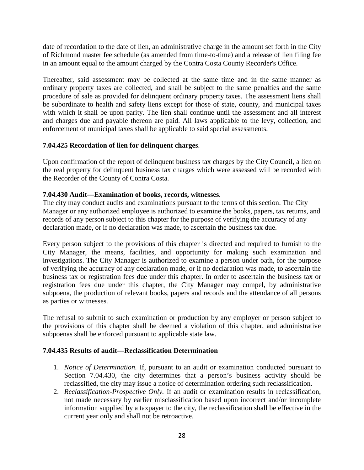date of recordation to the date of lien, an administrative charge in the amount set forth in the City of Richmond master fee schedule (as amended from time-to-time) and a release of lien filing fee in an amount equal to the amount charged by the Contra Costa County Recorder's Office.

Thereafter, said assessment may be collected at the same time and in the same manner as ordinary property taxes are collected, and shall be subject to the same penalties and the same procedure of sale as provided for delinquent ordinary property taxes. The assessment liens shall be subordinate to health and safety liens except for those of state, county, and municipal taxes with which it shall be upon parity. The lien shall continue until the assessment and all interest and charges due and payable thereon are paid. All laws applicable to the levy, collection, and enforcement of municipal taxes shall be applicable to said special assessments.

## **7.04.425 Recordation of lien for delinquent charges**.

Upon confirmation of the report of delinquent business tax charges by the City Council, a lien on the real property for delinquent business tax charges which were assessed will be recorded with the Recorder of the County of Contra Costa.

# **7.04.430 Audit—Examination of books, records, witnesses**.

The city may conduct audits and examinations pursuant to the terms of this section. The City Manager or any authorized employee is authorized to examine the books, papers, tax returns, and records of any person subject to this chapter for the purpose of verifying the accuracy of any declaration made, or if no declaration was made, to ascertain the business tax due.

Every person subject to the provisions of this chapter is directed and required to furnish to the City Manager, the means, facilities, and opportunity for making such examination and investigations. The City Manager is authorized to examine a person under oath, for the purpose of verifying the accuracy of any declaration made, or if no declaration was made, to ascertain the business tax or registration fees due under this chapter. In order to ascertain the business tax or registration fees due under this chapter, the City Manager may compel, by administrative subpoena, the production of relevant books, papers and records and the attendance of all persons as parties or witnesses.

The refusal to submit to such examination or production by any employer or person subject to the provisions of this chapter shall be deemed a violation of this chapter, and administrative subpoenas shall be enforced pursuant to applicable state law.

## **7.04.435 Results of audit—Reclassification Determination**

- 1. *Notice of Determination*. If, pursuant to an audit or examination conducted pursuant to Section 7.04.430, the city determines that a person's business activity should be reclassified, the city may issue a notice of determination ordering such reclassification.
- 2. *Reclassification-Prospective Only.* If an audit or examination results in reclassification, not made necessary by earlier misclassification based upon incorrect and/or incomplete information supplied by a taxpayer to the city, the reclassification shall be effective in the current year only and shall not be retroactive.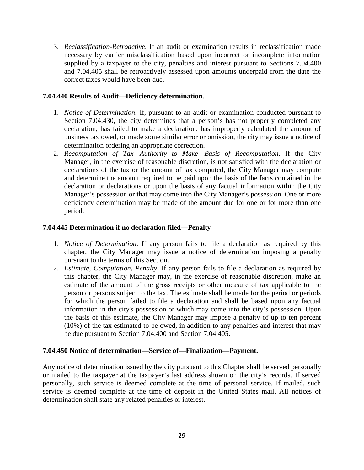3. *Reclassification-Retroactive*. If an audit or examination results in reclassification made necessary by earlier misclassification based upon incorrect or incomplete information supplied by a taxpayer to the city, penalties and interest pursuant to Sections 7.04.400 and 7.04.405 shall be retroactively assessed upon amounts underpaid from the date the correct taxes would have been due.

#### **7.04.440 Results of Audit—Deficiency determination**.

- 1. *Notice of Determination*. If, pursuant to an audit or examination conducted pursuant to Section 7.04.430, the city determines that a person's has not properly completed any declaration, has failed to make a declaration, has improperly calculated the amount of business tax owed, or made some similar error or omission, the city may issue a notice of determination ordering an appropriate correction.
- 2. *Recomputation of Tax—Authority to Make—Basis of Recomputation*. If the City Manager, in the exercise of reasonable discretion, is not satisfied with the declaration or declarations of the tax or the amount of tax computed, the City Manager may compute and determine the amount required to be paid upon the basis of the facts contained in the declaration or declarations or upon the basis of any factual information within the City Manager's possession or that may come into the City Manager's possession. One or more deficiency determination may be made of the amount due for one or for more than one period.

### **7.04.445 Determination if no declaration filed—Penalty**

- 1. *Notice of Determination*. If any person fails to file a declaration as required by this chapter, the City Manager may issue a notice of determination imposing a penalty pursuant to the terms of this Section.
- 2. *Estimate, Computation, Penalty*. If any person fails to file a declaration as required by this chapter, the City Manager may, in the exercise of reasonable discretion, make an estimate of the amount of the gross receipts or other measure of tax applicable to the person or persons subject to the tax. The estimate shall be made for the period or periods for which the person failed to file a declaration and shall be based upon any factual information in the city's possession or which may come into the city's possession. Upon the basis of this estimate, the City Manager may impose a penalty of up to ten percent (10%) of the tax estimated to be owed, in addition to any penalties and interest that may be due pursuant to Section 7.04.400 and Section 7.04.405.

#### **7.04.450 Notice of determination—Service of—Finalization—Payment.**

Any notice of determination issued by the city pursuant to this Chapter shall be served personally or mailed to the taxpayer at the taxpayer's last address shown on the city's records. If served personally, such service is deemed complete at the time of personal service. If mailed, such service is deemed complete at the time of deposit in the United States mail. All notices of determination shall state any related penalties or interest.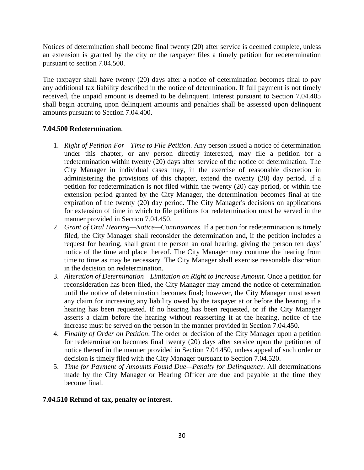Notices of determination shall become final twenty (20) after service is deemed complete, unless an extension is granted by the city or the taxpayer files a timely petition for redetermination pursuant to section 7.04.500.

The taxpayer shall have twenty (20) days after a notice of determination becomes final to pay any additional tax liability described in the notice of determination. If full payment is not timely received, the unpaid amount is deemed to be delinquent. Interest pursuant to Section 7.04.405 shall begin accruing upon delinquent amounts and penalties shall be assessed upon delinquent amounts pursuant to Section 7.04.400.

# **7.04.500 Redetermination**.

- 1. *Right of Petition For—Time to File Petition*. Any person issued a notice of determination under this chapter, or any person directly interested, may file a petition for a redetermination within twenty (20) days after service of the notice of determination. The City Manager in individual cases may, in the exercise of reasonable discretion in administering the provisions of this chapter, extend the twenty (20) day period. If a petition for redetermination is not filed within the twenty (20) day period, or within the extension period granted by the City Manager, the determination becomes final at the expiration of the twenty (20) day period. The City Manager's decisions on applications for extension of time in which to file petitions for redetermination must be served in the manner provided in Section 7.04.450.
- 2. *Grant of Oral Hearing—Notice—Continuances*. If a petition for redetermination is timely filed, the City Manager shall reconsider the determination and, if the petition includes a request for hearing, shall grant the person an oral hearing, giving the person ten days' notice of the time and place thereof. The City Manager may continue the hearing from time to time as may be necessary. The City Manager shall exercise reasonable discretion in the decision on redetermination.
- 3. *Alteration of Determination—Limitation on Right to Increase Amount*. Once a petition for reconsideration has been filed, the City Manager may amend the notice of determination until the notice of determination becomes final; however, the City Manager must assert any claim for increasing any liability owed by the taxpayer at or before the hearing, if a hearing has been requested. If no hearing has been requested, or if the City Manager asserts a claim before the hearing without reasserting it at the hearing, notice of the increase must be served on the person in the manner provided in Section 7.04.450.
- 4. *Finality of Order on Petition*. The order or decision of the City Manager upon a petition for redetermination becomes final twenty (20) days after service upon the petitioner of notice thereof in the manner provided in Section 7.04.450, unless appeal of such order or decision is timely filed with the City Manager pursuant to Section 7.04.520.
- 5. *Time for Payment of Amounts Found Due—Penalty for Delinquency*. All determinations made by the City Manager or Hearing Officer are due and payable at the time they become final.

## **7.04.510 Refund of tax, penalty or interest**.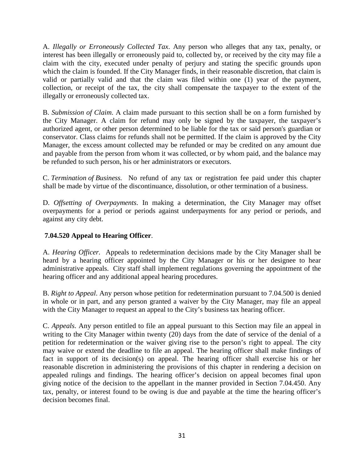A. *Illegally or Erroneously Collected Tax*. Any person who alleges that any tax, penalty, or interest has been illegally or erroneously paid to, collected by, or received by the city may file a claim with the city, executed under penalty of perjury and stating the specific grounds upon which the claim is founded. If the City Manager finds, in their reasonable discretion, that claim is valid or partially valid and that the claim was filed within one (1) year of the payment, collection, or receipt of the tax, the city shall compensate the taxpayer to the extent of the illegally or erroneously collected tax.

B. *Submission of Claim*. A claim made pursuant to this section shall be on a form furnished by the City Manager. A claim for refund may only be signed by the taxpayer, the taxpayer's authorized agent, or other person determined to be liable for the tax or said person's guardian or conservator. Class claims for refunds shall not be permitted. If the claim is approved by the City Manager, the excess amount collected may be refunded or may be credited on any amount due and payable from the person from whom it was collected, or by whom paid, and the balance may be refunded to such person, his or her administrators or executors.

C. *Termination of Business.* No refund of any tax or registration fee paid under this chapter shall be made by virtue of the discontinuance, dissolution, or other termination of a business.

D. *Offsetting of Overpayments*. In making a determination, the City Manager may offset overpayments for a period or periods against underpayments for any period or periods, and against any city debt.

## **7.04.520 Appeal to Hearing Officer**.

A. *Hearing Officer.* Appeals to redetermination decisions made by the City Manager shall be heard by a hearing officer appointed by the City Manager or his or her designee to hear administrative appeals. City staff shall implement regulations governing the appointment of the hearing officer and any additional appeal hearing procedures.

B. *Right to Appeal*. Any person whose petition for redetermination pursuant to 7.04.500 is denied in whole or in part, and any person granted a waiver by the City Manager, may file an appeal with the City Manager to request an appeal to the City's business tax hearing officer.

C. *Appeals*. Any person entitled to file an appeal pursuant to this Section may file an appeal in writing to the City Manager within twenty (20) days from the date of service of the denial of a petition for redetermination or the waiver giving rise to the person's right to appeal. The city may waive or extend the deadline to file an appeal. The hearing officer shall make findings of fact in support of its decision(s) on appeal. The hearing officer shall exercise his or her reasonable discretion in administering the provisions of this chapter in rendering a decision on appealed rulings and findings. The hearing officer's decision on appeal becomes final upon giving notice of the decision to the appellant in the manner provided in Section 7.04.450. Any tax, penalty, or interest found to be owing is due and payable at the time the hearing officer's decision becomes final.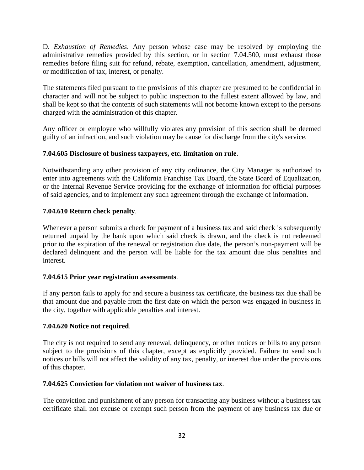D. *Exhaustion of Remedies*. Any person whose case may be resolved by employing the administrative remedies provided by this section, or in section 7.04.500, must exhaust those remedies before filing suit for refund, rebate, exemption, cancellation, amendment, adjustment, or modification of tax, interest, or penalty.

The statements filed pursuant to the provisions of this chapter are presumed to be confidential in character and will not be subject to public inspection to the fullest extent allowed by law, and shall be kept so that the contents of such statements will not become known except to the persons charged with the administration of this chapter.

Any officer or employee who willfully violates any provision of this section shall be deemed guilty of an infraction, and such violation may be cause for discharge from the city's service.

## **7.04.605 Disclosure of business taxpayers, etc. limitation on rule**.

Notwithstanding any other provision of any city ordinance, the City Manager is authorized to enter into agreements with the California Franchise Tax Board, the State Board of Equalization, or the Internal Revenue Service providing for the exchange of information for official purposes of said agencies, and to implement any such agreement through the exchange of information.

### **7.04.610 Return check penalty**.

Whenever a person submits a check for payment of a business tax and said check is subsequently returned unpaid by the bank upon which said check is drawn, and the check is not redeemed prior to the expiration of the renewal or registration due date, the person's non-payment will be declared delinquent and the person will be liable for the tax amount due plus penalties and interest.

#### **7.04.615 Prior year registration assessments**.

If any person fails to apply for and secure a business tax certificate, the business tax due shall be that amount due and payable from the first date on which the person was engaged in business in the city, together with applicable penalties and interest.

#### **7.04.620 Notice not required**.

The city is not required to send any renewal, delinquency, or other notices or bills to any person subject to the provisions of this chapter, except as explicitly provided. Failure to send such notices or bills will not affect the validity of any tax, penalty, or interest due under the provisions of this chapter.

#### **7.04.625 Conviction for violation not waiver of business tax**.

The conviction and punishment of any person for transacting any business without a business tax certificate shall not excuse or exempt such person from the payment of any business tax due or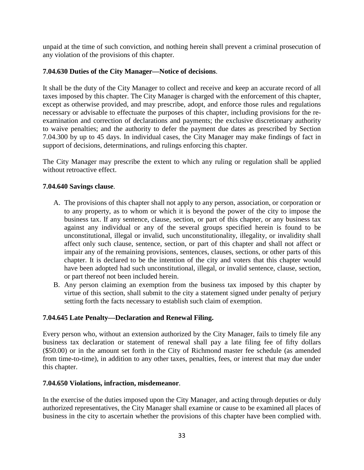unpaid at the time of such conviction, and nothing herein shall prevent a criminal prosecution of any violation of the provisions of this chapter.

### **7.04.630 Duties of the City Manager—Notice of decisions**.

It shall be the duty of the City Manager to collect and receive and keep an accurate record of all taxes imposed by this chapter. The City Manager is charged with the enforcement of this chapter, except as otherwise provided, and may prescribe, adopt, and enforce those rules and regulations necessary or advisable to effectuate the purposes of this chapter, including provisions for the reexamination and correction of declarations and payments; the exclusive discretionary authority to waive penalties; and the authority to defer the payment due dates as prescribed by Section 7.04.300 by up to 45 days. In individual cases, the City Manager may make findings of fact in support of decisions, determinations, and rulings enforcing this chapter.

The City Manager may prescribe the extent to which any ruling or regulation shall be applied without retroactive effect.

### **7.04.640 Savings clause**.

- A. The provisions of this chapter shall not apply to any person, association, or corporation or to any property, as to whom or which it is beyond the power of the city to impose the business tax. If any sentence, clause, section, or part of this chapter, or any business tax against any individual or any of the several groups specified herein is found to be unconstitutional, illegal or invalid, such unconstitutionality, illegality, or invalidity shall affect only such clause, sentence, section, or part of this chapter and shall not affect or impair any of the remaining provisions, sentences, clauses, sections, or other parts of this chapter. It is declared to be the intention of the city and voters that this chapter would have been adopted had such unconstitutional, illegal, or invalid sentence, clause, section, or part thereof not been included herein.
- B. Any person claiming an exemption from the business tax imposed by this chapter by virtue of this section, shall submit to the city a statement signed under penalty of perjury setting forth the facts necessary to establish such claim of exemption.

#### **7.04.645 Late Penalty—Declaration and Renewal Filing.**

Every person who, without an extension authorized by the City Manager, fails to timely file any business tax declaration or statement of renewal shall pay a late filing fee of fifty dollars (\$50.00) or in the amount set forth in the City of Richmond master fee schedule (as amended from time-to-time), in addition to any other taxes, penalties, fees, or interest that may due under this chapter.

#### **7.04.650 Violations, infraction, misdemeanor**.

In the exercise of the duties imposed upon the City Manager, and acting through deputies or duly authorized representatives, the City Manager shall examine or cause to be examined all places of business in the city to ascertain whether the provisions of this chapter have been complied with.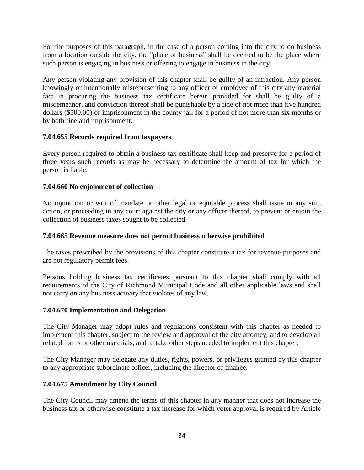For the purposes of this paragraph, in the case of a person coming into the city to do business from a location outside the city, the "place of business" shall be deemed to be the place where such person is engaging in business or offering to engage in business in the city.

Any person violating any provision of this chapter shall be guilty of an infraction. Any person knowingly or intentionally misrepresenting to any officer or employee of this city any material fact in procuring the business tax certificate herein provided for shall be guilty of a misdemeanor, and conviction thereof shall be punishable by a fine of not more than five hundred dollars (\$500.00) or imprisonment in the county jail for a period of not more than six months or by both fine and imprisonment.

## **7.04.655 Records required from taxpayers**.

Every person required to obtain a business tax certificate shall keep and preserve for a period of three years such records as may be necessary to determine the amount of tax for which the person is liable.

### **7.04.660 No enjoinment of collection**

No injunction or writ of mandate or other legal or equitable process shall issue in any suit, action, or proceeding in any court against the city or any officer thereof, to prevent or enjoin the collection of business taxes sought to be collected.

#### **7.04.665 Revenue measure does not permit business otherwise prohibited**

The taxes prescribed by the provisions of this chapter constitute a tax for revenue purposes and are not regulatory permit fees.

Persons holding business tax certificates pursuant to this chapter shall comply with all requirements of the City of Richmond Municipal Code and all other applicable laws and shall not carry on any business activity that violates of any law.

#### **7.04.670 Implementation and Delegation**

The City Manager may adopt rules and regulations consistent with this chapter as needed to implement this chapter, subject to the review and approval of the city attorney, and to develop all related forms or other materials, and to take other steps needed to implement this chapter.

The City Manager may delegate any duties, rights, powers, or privileges granted by this chapter to any appropriate subordinate officer, including the director of finance.

## **7.04.675 Amendment by City Council**

The City Council may amend the terms of this chapter in any manner that does not increase the business tax or otherwise constitute a tax increase for which voter approval is required by Article